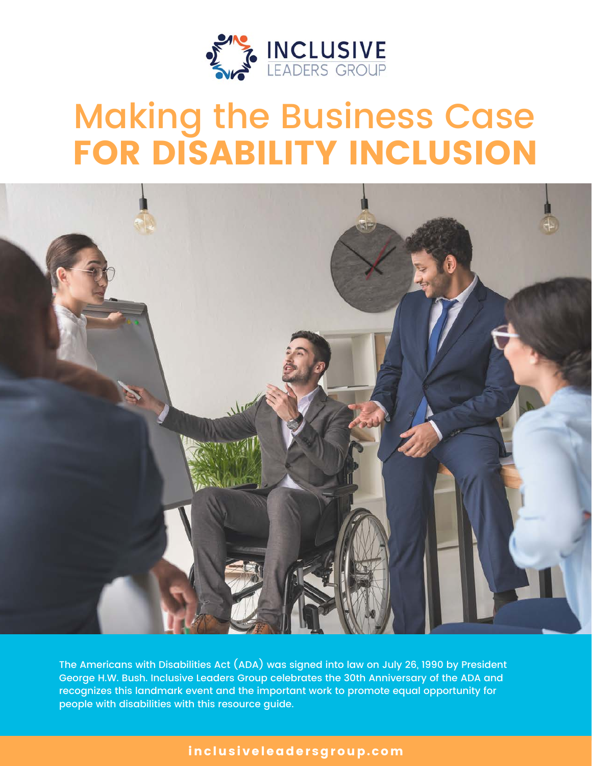

# Making the Business Case FOR DISABILITY INCLUSION



The Americans with Disabilities Act (ADA) was signed into law on July 26, 1990 by President George H.W. Bush. Inclusive Leaders Group celebrates the 30th Anniversary of the ADA and recognizes this landmark event and the important work to promote equal opportunity for people with disabilities with this resource guide.

### inclusiveleadersgroup.com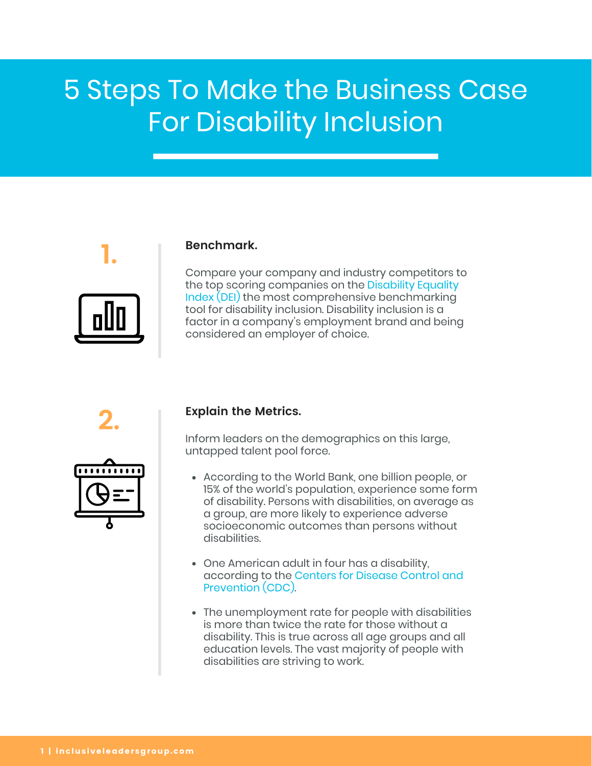## 5 Steps To Make the Business Case For Disability Inclusion

### **Benchmark.**

Compare your company and industry competitors to [the top scoring companies on the Disability Equality](https://disabilityin.org/what-we-%20do/disability-equality-index/) Index (DEI) the most comprehensive benchmarking tool for disability inclusion. Disability inclusion is a factor in a company's employment brand and being considered an employer of choice.

**2.**

**1.**



### **Explain the Metrics.**

Inform leaders on the demographics on this large, untapped talent pool force.

- According to the World Bank, one billion people, or 15% of the world's population, experience some form of disability. Persons with disabilities, on average as a group, are more likely to experience adverse socioeconomic outcomes than persons without disabilities.
- One American adult in four has a disability, [according to the Centers for Disease Control and](https://www.cdc.gov/media/releases/2018/p0816-disability.html) Prevention (CDC).
- The unemployment rate for people with disabilities is more than twice the rate for those without a disability. This is true across all age groups and all education levels. The vast majority of people with disabilities are striving to work.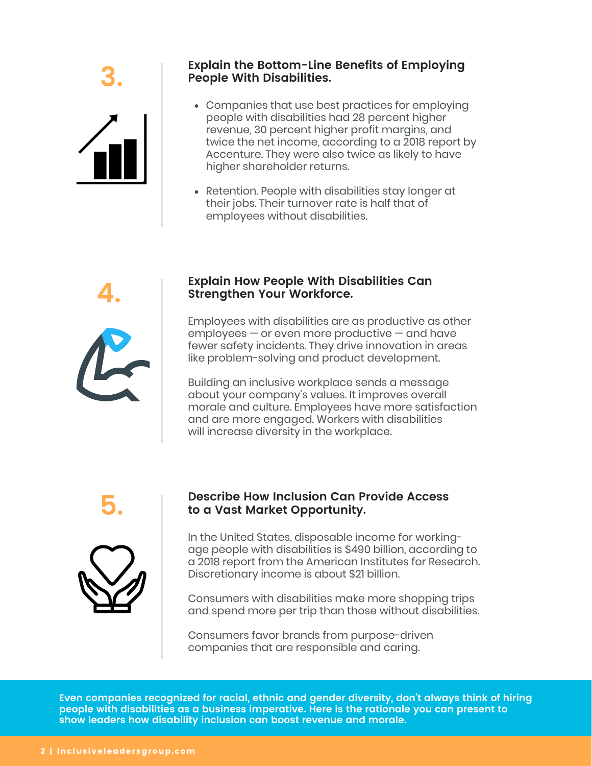

### **Explain the Bottom-Line Benefits of Employing 3. People With Disabilities.**

- Companies that use best practices for employing people with disabilities had 28 percent higher revenue, 30 percent higher profit margins, and twice the net income, according to a 2018 report by Accenture. They were also twice as likely to have higher shareholder returns.
- Retention. People with disabilities stay longer at their jobs. Their turnover rate is half that of employees without disabilities.

### **Explain How People With Disabilities Can 4. Strengthen Your Workforce.**

Employees with disabilities are as productive as other employees — or even more productive — and have fewer safety incidents. They drive innovation in areas like problem-solving and product development.

Building an inclusive workplace sends a message about your company's values. It improves overall morale and culture. Employees have more satisfaction and are more engaged. Workers with disabilities will increase diversity in the workplace.



## **Describe How Inclusion Can Provide Access 5. to a Vast Market Opportunity.**

In the United States, disposable income for workingage people with disabilities is \$490 billion, according to a 2018 report from the American Institutes for Research. Discretionary income is about \$21 billion.

Consumers with disabilities make more shopping trips and spend more per trip than those without disabilities.

Consumers favor brands from purpose-driven companies that are responsible and caring.

**Even companies recognized for racial, ethnic and gender diversity, don't always think of hiring people with disabilities as a business imperative. Here is the rationale you can present to show leaders how disability inclusion can boost revenue and morale.**

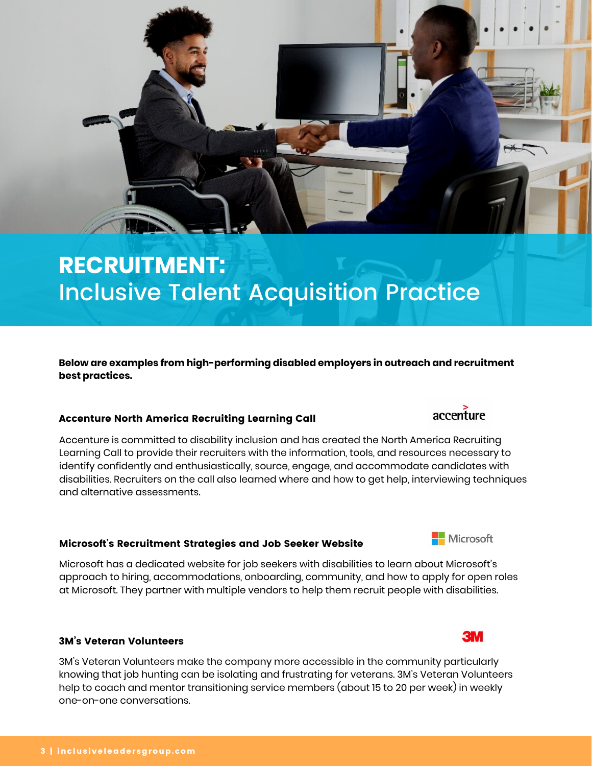## **RECRUITMENT:** Inclusive Talent Acquisition Practice

**Below are examples from high-performing disabled employers in outreach and recruitment best practices.**

### Accenture North America Recruiting Learning Call

Accenture is committed to disability inclusion and has created the North America Recruiting Learning Call to provide their recruiters with the information, tools, and resources necessary to identify confidently and enthusiastically, source, engage, and accommodate candidates with disabilities. Recruiters on the call also learned where and how to get help, interviewing techniques and alternative assessments.

### Microsoft's Recruitment Strategies and Job Seeker Website

Microsoft has a dedicated website for job seekers with disabilities to learn about Microsoft's approach to hiring, accommodations, onboarding, community, and how to apply for open roles at Microsoft. They partner with multiple vendors to help them recruit people with disabilities.

#### 3M's Veteran Volunteers

3M's Veteran Volunteers make the company more accessible in the community particularly knowing that job hunting can be isolating and frustrating for veterans. 3M's Veteran Volunteers help to coach and mentor transitioning service members (about 15 to 20 per week) in weekly one-on-one conversations.

# accenture



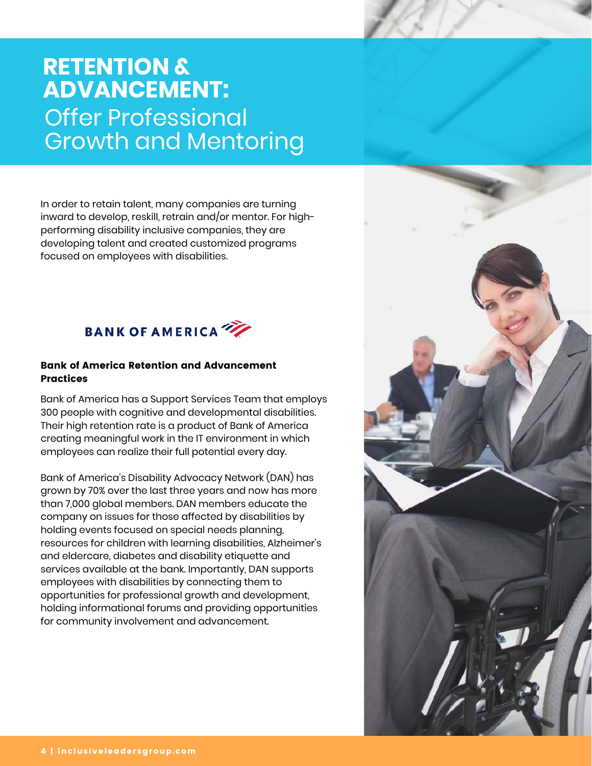### **RETENTION & ADVANCEMENT:** Offer Professional Growth and Mentoring

In order to retain talent, many companies are turning inward to develop, reskill, retrain and/or mentor. For highperforming disability inclusive companies, they are developing talent and created customized programs focused on employees with disabilities.



#### Bank of America Retention and Advancement Practices

Bank of America has a Support Services Team that employs 300 people with cognitive and developmental disabilities. Their high retention rate is a product of Bank of America creating meaningful work in the IT environment in which employees can realize their full potential every day.

Bank of America's Disability Advocacy Network (DAN) has grown by 70% over the last three years and now has more than 7,000 global members. DAN members educate the company on issues for those affected by disabilities by holding events focused on special needs planning, resources for children with learning disabilities, Alzheimer's and eldercare, diabetes and disability etiquette and services available at the bank. Importantly, DAN supports employees with disabilities by connecting them to opportunities for professional growth and development, holding informational forums and providing opportunities for community involvement and advancement.